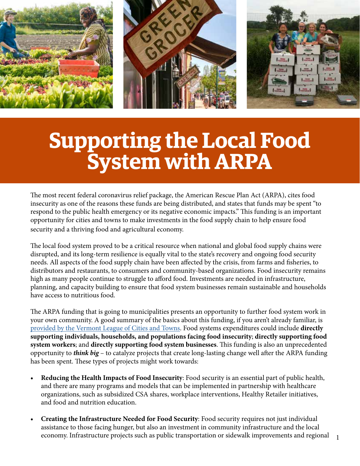

# **Supporting the Local Food System with ARPA**

The most recent federal coronavirus relief package, the American Rescue Plan Act (ARPA), cites food insecurity as one of the reasons these funds are being distributed, and states that funds may be spent "to respond to the public health emergency or its negative economic impacts." This funding is an important opportunity for cities and towns to make investments in the food supply chain to help ensure food security and a thriving food and agricultural economy.

The local food system proved to be a critical resource when national and global food supply chains were disrupted, and its long-term resilience is equally vital to the state's recovery and ongoing food security needs. All aspects of the food supply chain have been affected by the crisis, from farms and fisheries, to distributors and restaurants, to consumers and community-based organizations. Food insecurity remains high as many people continue to struggle to afford food. Investments are needed in infrastructure, planning, and capacity building to ensure that food system businesses remain sustainable and households have access to nutritious food.

The ARPA funding that is going to municipalities presents an opportunity to further food system work in your own community. A good summary of the basics about this funding, if you aren't already familiar, is [provided by the Vermont League of Cities and Towns](https://www.vlct.org/resources/american-rescue-plan-information). Food systems expenditures could include **directly supporting individuals, households, and populations facing food insecurity**; **directly supporting food system workers**; and **directly supporting food system businesses**. This funding is also an unprecedented opportunity to *think big* – to catalyze projects that create long-lasting change well after the ARPA funding has been spent. These types of projects might work towards:

- **• Reducing the Health Impacts of Food Insecurity**: Food security is an essential part of public health, and there are many programs and models that can be implemented in partnership with healthcare organizations, such as subsidized CSA shares, workplace interventions, Healthy Retailer initiatives, and food and nutrition education.
- **• Creating the Infrastructure Needed for Food Security**: Food security requires not just individual assistance to those facing hunger, but also an investment in community infrastructure and the local economy. Infrastructure projects such as public transportation or sidewalk improvements and regional

1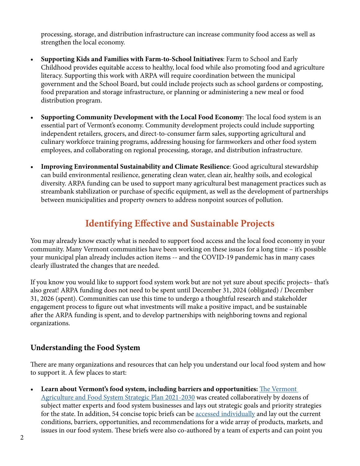processing, storage, and distribution infrastructure can increase community food access as well as strengthen the local economy.

- **• Supporting Kids and Families with Farm-to-School Initiatives**: Farm to School and Early Childhood provides equitable access to healthy, local food while also promoting food and agriculture literacy. Supporting this work with ARPA will require coordination between the municipal government and the School Board, but could include projects such as school gardens or composting, food preparation and storage infrastructure, or planning or administering a new meal or food distribution program.
- **• Supporting Community Development with the Local Food Economy**: The local food system is an essential part of Vermont's economy. Community development projects could include supporting independent retailers, grocers, and direct-to-consumer farm sales, supporting agricultural and culinary workforce training programs, addressing housing for farmworkers and other food system employees, and collaborating on regional processing, storage, and distribution infrastructure.
- **• Improving Environmental Sustainability and Climate Resilience**: Good agricultural stewardship can build environmental resilience, generating clean water, clean air, healthy soils, and ecological diversity. ARPA funding can be used to support many agricultural best management practices such as streambank stabilization or purchase of specific equipment, as well as the development of partnerships between municipalities and property owners to address nonpoint sources of pollution.

## **Identifying Effective and Sustainable Projects**

You may already know exactly what is needed to support food access and the local food economy in your community. Many Vermont communities have been working on these issues for a long time – it's possible your municipal plan already includes action items -- and the COVID-19 pandemic has in many cases clearly illustrated the changes that are needed.

If you know you would like to support food system work but are not yet sure about specific projects– that's also great! ARPA funding does not need to be spent until December 31, 2024 (obligated) / December 31, 2026 (spent). Communities can use this time to undergo a thoughtful research and stakeholder engagement process to figure out what investments will make a positive impact, and be sustainable after the ARPA funding is spent, and to develop partnerships with neighboring towns and regional organizations.

### **Understanding the Food System**

There are many organizations and resources that can help you understand our local food system and how to support it. A few places to start:

**• Learn about Vermont's food system, including barriers and opportunities:** [The Vermont](https://www.vtfarmtoplate.com/assets/resource/files/Vermont%20Agriculture%20and%20Food%20System%20Plan%20-%20without%20briefs.pdf)  [Agriculture and Food System Strategic Plan 2021-2030](https://www.vtfarmtoplate.com/assets/resource/files/Vermont%20Agriculture%20and%20Food%20System%20Plan%20-%20without%20briefs.pdf) was created collaboratively by dozens of subject matter experts and food system businesses and lays out strategic goals and priority strategies for the state. In addition, 54 concise topic briefs can be [accessed individually](https://www.vtfarmtoplate.com/plan/) and lay out the current conditions, barriers, opportunities, and recommendations for a wide array of products, markets, and issues in our food system. These briefs were also co-authored by a team of experts and can point you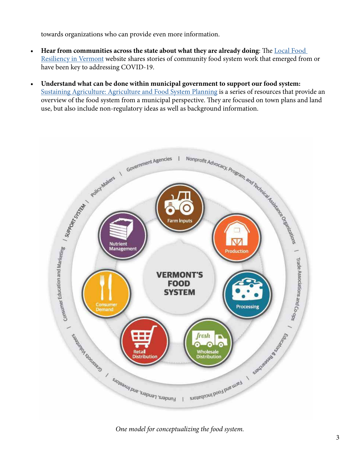towards organizations who can provide even more information.

- **• Hear from communities across the state about what they are already doing**: The [Local Food](https://storymaps.arcgis.com/collections/1653bd8d31554ef69dc302d5e46e480c?item=1)  [Resiliency in Vermont](https://storymaps.arcgis.com/collections/1653bd8d31554ef69dc302d5e46e480c?item=1) website shares stories of community food system work that emerged from or have been key to addressing COVID-19.
- **• Understand what can be done within municipal government to support our food system:** [Sustaining Agriculture: Agriculture and Food System Planning](https://www.vtfarmtoplate.com/resources/collections/agricultural-land-use-planning-modules) is a series of resources that provide an use, but also include non-regulatory ideas as well as background information.



*One model for conceptualizing the food system.*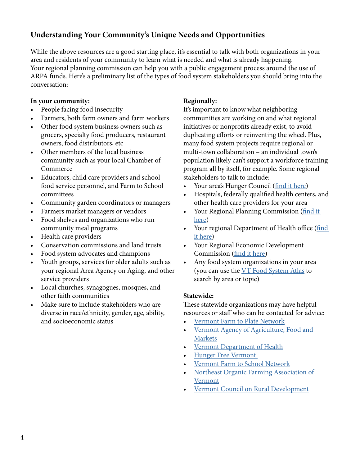## **Understanding Your Community's Unique Needs and Opportunities**

While the above resources are a good starting place, it's essential to talk with both organizations in your area and residents of your community to learn what is needed and what is already happening. Your regional planning commission can help you with a public engagement process around the use of ARPA funds. Here's a preliminary list of the types of food system stakeholders you should bring into the conversation:

#### **In your community:**

- People facing food insecurity
- Farmers, both farm owners and farm workers
- Other food system business owners such as grocers, specialty food producers, restaurant owners, food distributors, etc
- Other members of the local business community such as your local Chamber of Commerce
- Educators, child care providers and school food service personnel, and Farm to School committees
- Community garden coordinators or managers
- Farmers market managers or vendors
- Food shelves and organizations who run community meal programs
- Health care providers
- Conservation commissions and land trusts
- Food system advocates and champions
- Youth groups, services for older adults such as your regional Area Agency on Aging, and other service providers
- Local churches, synagogues, mosques, and other faith communities
- Make sure to include stakeholders who are diverse in race/ethnicity, gender, age, ability, and socioeconomic status

#### **Regionally:**

It's important to know what neighboring communities are working on and what regional initiatives or nonprofits already exist, to avoid duplicating efforts or reinventing the wheel. Plus, many food system projects require regional or multi-town collaboration – an individual town's population likely can't support a workforce training program all by itself, for example. Some regional stakeholders to talk to include:

- Your area's Hunger Council ([find it here](https://www.hungerfreevt.org/hunger-councils))
- Hospitals, federally qualified health centers, and other health care providers for your area
- Your Regional Planning Commission [\(find it](https://www.vapda.org/regions.html) [here\)](https://www.vapda.org/regions.html)
- Your regional Department of Health office ([find](https://www.healthvermont.gov/local) [it here](https://www.healthvermont.gov/local))
- Your Regional Economic Development Commission [\(find it here\)](https://www.vermonteconomicdevelopment.com/find-your-rdc)
- Any food system organizations in your area (you can use the [VT Food System Atlas](https://www.vtfarmtoplate.com/atlas) to search by area or topic)

#### **Statewide:**

These statewide organizations may have helpful resources or staff who can be contacted for advice:

- [Vermont Farm to Plate Network](https://www.vtfarmtoplate.com/)
- [Vermont Agency of Agriculture, Food and](https://agriculture.vermont.gov/) [Markets](https://agriculture.vermont.gov/)
- [Vermont Department of Health](https://www.healthvermont.gov/)
- [Hunger Free Vermont](https://www.hungerfreevt.org/)
- [Vermont Farm to School Network](https://vermontfarmtoschool.org/)
- [Northeast Organic Farming Association of](https://nofavt.org/) [Vermont](https://nofavt.org/)
- [Vermont Council on Rural Development](http://www.vtrural.org)